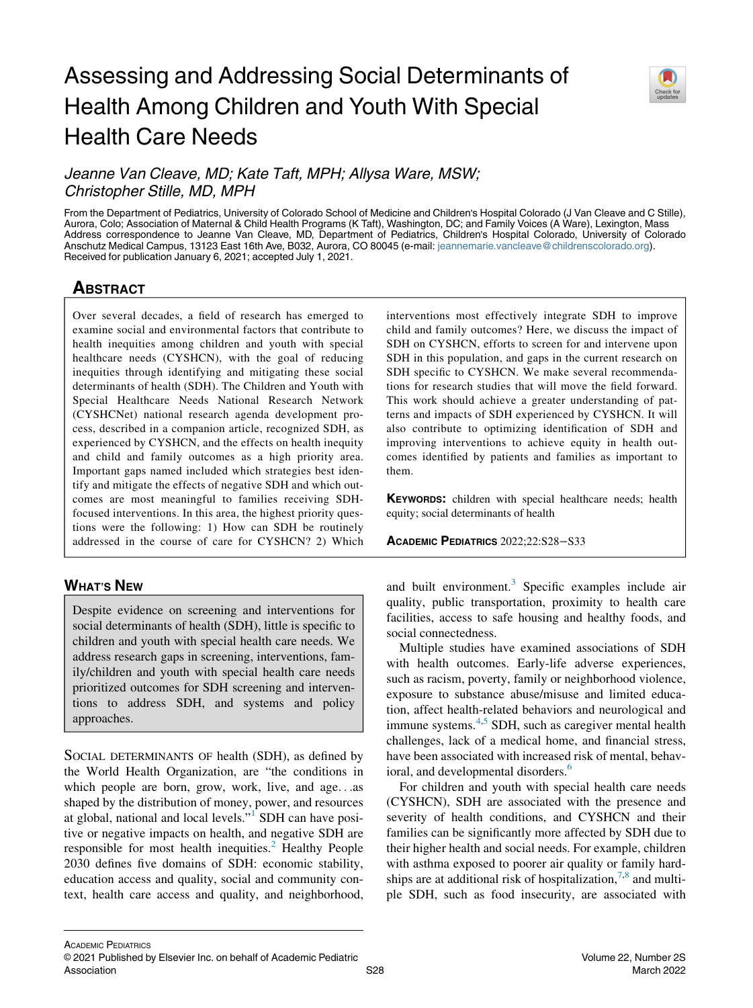# Assessing and Addressing Social Determinants of Health Among Children and Youth With Special Health Care Needs



## Jeanne Van Cleave, MD; Kate Taft, MPH; Allysa Ware, MSW; Christopher Stille, MD, MPH

From the Department of Pediatrics, University of Colorado School of Medicine and Children's Hospital Colorado (J Van Cleave and C Stille), Aurora, Colo; Association of Maternal & Child Health Programs (K Taft), Washington, DC; and Family Voices (A Ware), Lexington, Mass Address correspondence to Jeanne Van Cleave, MD, Department of Pediatrics, Children's Hospital Colorado, University of Colorado Anschutz Medical Campus, 13123 East 16th Ave, B032, Aurora, CO 80045 (e-mail: [jeannemarie.vancleave@childrenscolorado.org\)](mailto:jeannemarie.vancleave@childrenscolorado.org). Received for publication January 6, 2021; accepted July 1, 2021.

# **ABSTRACT**

Over several decades, a field of research has emerged to examine social and environmental factors that contribute to health inequities among children and youth with special healthcare needs (CYSHCN), with the goal of reducing inequities through identifying and mitigating these social determinants of health (SDH). The Children and Youth with Special Healthcare Needs National Research Network (CYSHCNet) national research agenda development process, described in a companion article, recognized SDH, as experienced by CYSHCN, and the effects on health inequity and child and family outcomes as a high priority area. Important gaps named included which strategies best identify and mitigate the effects of negative SDH and which outcomes are most meaningful to families receiving SDHfocused interventions. In this area, the highest priority questions were the following: 1) How can SDH be routinely addressed in the course of care for CYSHCN? 2) Which

### WHAT'S NEW

Despite evidence on screening and interventions for social determinants of health (SDH), little is specific to children and youth with special health care needs. We address research gaps in screening, interventions, family/children and youth with special health care needs prioritized outcomes for SDH screening and interventions to address SDH, and systems and policy approaches.

SOCIAL DETERMINANTS OF health (SDH), as defined by the World Health Organization, are "the conditions in which people are born, grow, work, live, and age...as shaped by the distribution of money, power, and resources at global, national and local levels."<sup>[1](#page-4-0)</sup> SDH can have positive or negative impacts on health, and negative SDH are responsible for most health inequities. $<sup>2</sup>$  $<sup>2</sup>$  $<sup>2</sup>$  Healthy People</sup> 2030 defines five domains of SDH: economic stability, education access and quality, social and community context, health care access and quality, and neighborhood,

interventions most effectively integrate SDH to improve child and family outcomes? Here, we discuss the impact of SDH on CYSHCN, efforts to screen for and intervene upon SDH in this population, and gaps in the current research on SDH specific to CYSHCN. We make several recommendations for research studies that will move the field forward. This work should achieve a greater understanding of patterns and impacts of SDH experienced by CYSHCN. It will also contribute to optimizing identification of SDH and improving interventions to achieve equity in health outcomes identified by patients and families as important to them.

**KEYWORDS:** children with special healthcare needs; health equity; social determinants of health

ACADEMIC PEDIATRICS 2022;22:S28−S33

and built environment. $3$  Specific examples include air quality, public transportation, proximity to health care facilities, access to safe housing and healthy foods, and social connectedness.

Multiple studies have examined associations of SDH with health outcomes. Early-life adverse experiences, such as racism, poverty, family or neighborhood violence, exposure to substance abuse/misuse and limited education, affect health-related behaviors and neurological and immune systems. $4.5$  $4.5$  SDH, such as caregiver mental health challenges, lack of a medical home, and financial stress, have been associated with increased risk of mental, behav-ioral, and developmental disorders.<sup>[6](#page-4-5)</sup>

For children and youth with special health care needs (CYSHCN), SDH are associated with the presence and severity of health conditions, and CYSHCN and their families can be significantly more affected by SDH due to their higher health and social needs. For example, children with asthma exposed to poorer air quality or family hardships are at additional risk of hospitalization,  $7.8$  $7.8$  and multiple SDH, such as food insecurity, are associated with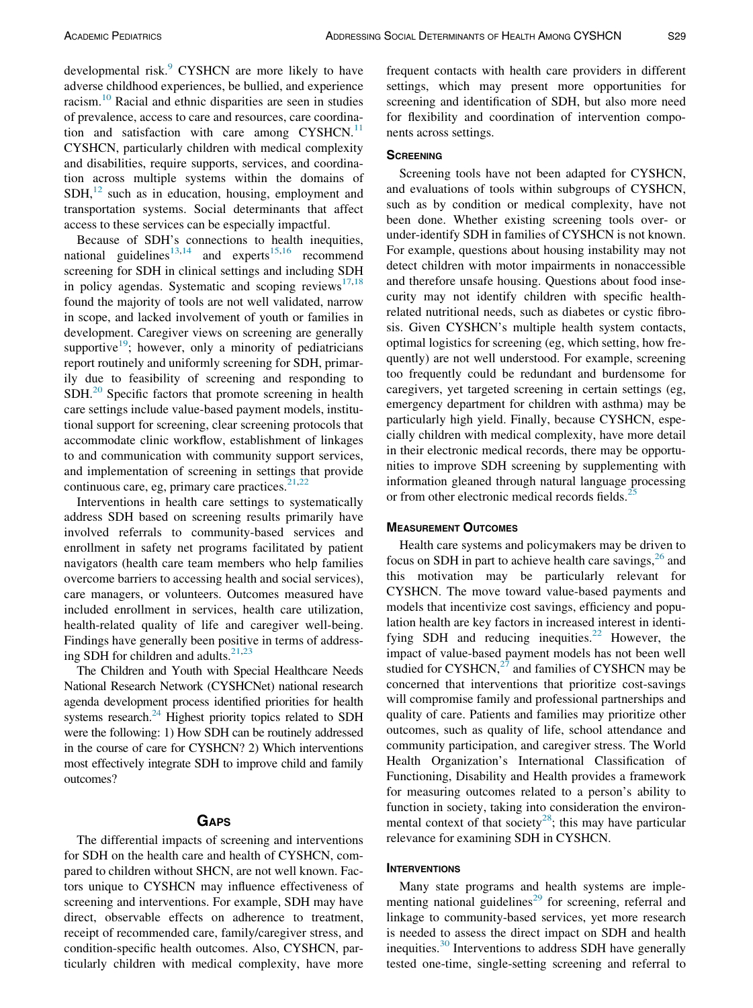developmental risk.<sup>9</sup> CYSHCN are more likely to have adverse childhood experiences, be bullied, and experience racism.<sup>[10](#page-4-9)</sup> Racial and ethnic disparities are seen in studies of prevalence, access to care and resources, care coordination and satisfaction with care among  $CYSHCN<sup>11</sup>$  $CYSHCN<sup>11</sup>$  $CYSHCN<sup>11</sup>$ CYSHCN, particularly children with medical complexity and disabilities, require supports, services, and coordination across multiple systems within the domains of SDH[,12](#page-4-11) such as in education, housing, employment and transportation systems. Social determinants that affect access to these services can be especially impactful.

Because of SDH's connections to health inequities, national guidelines<sup>[13](#page-4-12)[,14](#page-4-13)</sup> and experts<sup>[15](#page-4-14),[16](#page-4-15)</sup> recommend screening for SDH in clinical settings and including SDH in policy agendas. Systematic and scoping reviews $17,18$  $17,18$  $17,18$ found the majority of tools are not well validated, narrow in scope, and lacked involvement of youth or families in development. Caregiver views on screening are generally supportive<sup>[19](#page-4-18)</sup>; however, only a minority of pediatricians report routinely and uniformly screening for SDH, primarily due to feasibility of screening and responding to SDH.<sup>20</sup> Specific factors that promote screening in health care settings include value-based payment models, institutional support for screening, clear screening protocols that accommodate clinic workflow, establishment of linkages to and communication with community support services, and implementation of screening in settings that provide continuous care, eg, primary care practices. $21,22$  $21,22$ 

Interventions in health care settings to systematically address SDH based on screening results primarily have involved referrals to community-based services and enrollment in safety net programs facilitated by patient navigators (health care team members who help families overcome barriers to accessing health and social services), care managers, or volunteers. Outcomes measured have included enrollment in services, health care utilization, health-related quality of life and caregiver well-being. Findings have generally been positive in terms of addressing SDH for children and adults. $21,23$  $21,23$  $21,23$ 

The Children and Youth with Special Healthcare Needs National Research Network (CYSHCNet) national research agenda development process identified priorities for health systems research. $^{24}$  Highest priority topics related to SDH were the following: 1) How SDH can be routinely addressed in the course of care for CYSHCN? 2) Which interventions most effectively integrate SDH to improve child and family outcomes?

#### **GAPS**

The differential impacts of screening and interventions for SDH on the health care and health of CYSHCN, compared to children without SHCN, are not well known. Factors unique to CYSHCN may influence effectiveness of screening and interventions. For example, SDH may have direct, observable effects on adherence to treatment, receipt of recommended care, family/caregiver stress, and condition-specific health outcomes. Also, CYSHCN, particularly children with medical complexity, have more

frequent contacts with health care providers in different settings, which may present more opportunities for screening and identification of SDH, but also more need for flexibility and coordination of intervention components across settings.

#### **SCREENING**

Screening tools have not been adapted for CYSHCN, and evaluations of tools within subgroups of CYSHCN, such as by condition or medical complexity, have not been done. Whether existing screening tools over- or under-identify SDH in families of CYSHCN is not known. For example, questions about housing instability may not detect children with motor impairments in nonaccessible and therefore unsafe housing. Questions about food insecurity may not identify children with specific healthrelated nutritional needs, such as diabetes or cystic fibrosis. Given CYSHCN's multiple health system contacts, optimal logistics for screening (eg, which setting, how frequently) are not well understood. For example, screening too frequently could be redundant and burdensome for caregivers, yet targeted screening in certain settings (eg, emergency department for children with asthma) may be particularly high yield. Finally, because CYSHCN, especially children with medical complexity, have more detail in their electronic medical records, there may be opportunities to improve SDH screening by supplementing with information gleaned through natural language processing or from other electronic medical records fields.<sup>2</sup>

#### MEASUREMENT OUTCOMES

Health care systems and policymakers may be driven to focus on SDH in part to achieve health care savings,<sup>[26](#page-5-2)</sup> and this motivation may be particularly relevant for CYSHCN. The move toward value-based payments and models that incentivize cost savings, efficiency and population health are key factors in increased interest in identi-fying SDH and reducing inequities.<sup>[22](#page-4-21)</sup> However, the impact of value-based payment models has not been well studied for  $CYSHCN<sub>1</sub><sup>27</sup>$  $CYSHCN<sub>1</sub><sup>27</sup>$  $CYSHCN<sub>1</sub><sup>27</sup>$  and families of CYSHCN may be concerned that interventions that prioritize cost-savings will compromise family and professional partnerships and quality of care. Patients and families may prioritize other outcomes, such as quality of life, school attendance and community participation, and caregiver stress. The World Health Organization's International Classification of Functioning, Disability and Health provides a framework for measuring outcomes related to a person's ability to function in society, taking into consideration the environmental context of that society<sup>28</sup>; this may have particular relevance for examining SDH in CYSHCN.

#### **INTERVENTIONS**

Many state programs and health systems are implementing national guidelines $^{29}$  $^{29}$  $^{29}$  for screening, referral and linkage to community-based services, yet more research is needed to assess the direct impact on SDH and health inequities.[30](#page-5-6) Interventions to address SDH have generally tested one-time, single-setting screening and referral to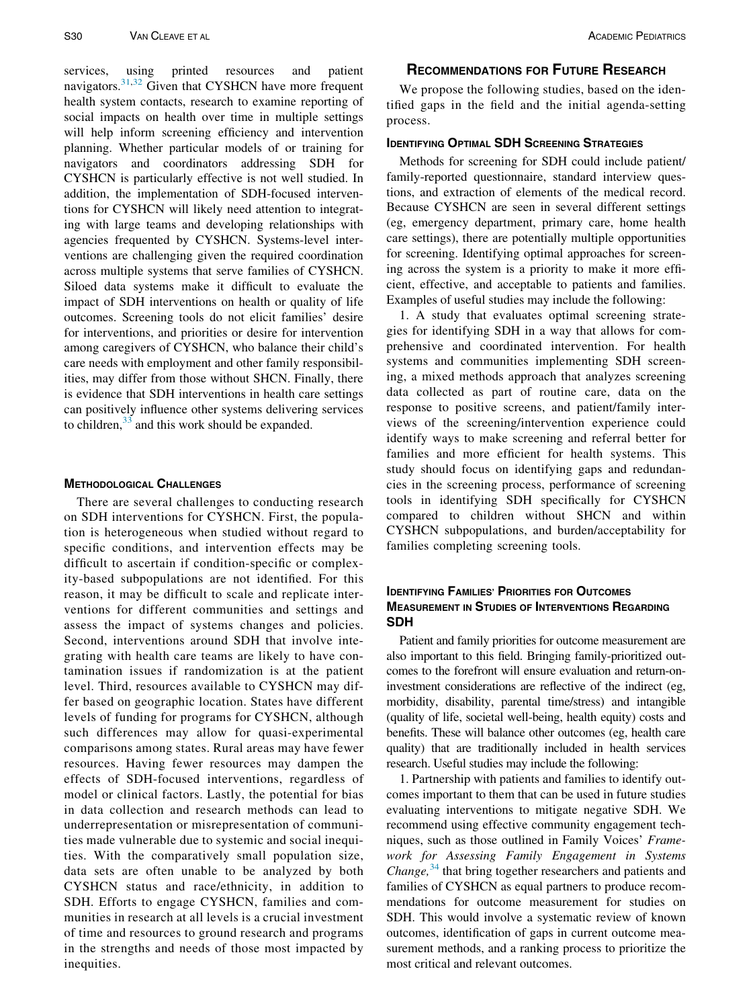services, using printed resources and patient navigators.<sup>[31](#page-5-7)[,32](#page-5-8)</sup> Given that CYSHCN have more frequent health system contacts, research to examine reporting of social impacts on health over time in multiple settings will help inform screening efficiency and intervention planning. Whether particular models of or training for navigators and coordinators addressing SDH for CYSHCN is particularly effective is not well studied. In addition, the implementation of SDH-focused interventions for CYSHCN will likely need attention to integrating with large teams and developing relationships with agencies frequented by CYSHCN. Systems-level interventions are challenging given the required coordination across multiple systems that serve families of CYSHCN. Siloed data systems make it difficult to evaluate the impact of SDH interventions on health or quality of life outcomes. Screening tools do not elicit families' desire for interventions, and priorities or desire for intervention among caregivers of CYSHCN, who balance their child's care needs with employment and other family responsibilities, may differ from those without SHCN. Finally, there is evidence that SDH interventions in health care settings can positively influence other systems delivering services to children, $33$  and this work should be expanded.

#### METHODOLOGICAL CHALLENGES

There are several challenges to conducting research on SDH interventions for CYSHCN. First, the population is heterogeneous when studied without regard to specific conditions, and intervention effects may be difficult to ascertain if condition-specific or complexity-based subpopulations are not identified. For this reason, it may be difficult to scale and replicate interventions for different communities and settings and assess the impact of systems changes and policies. Second, interventions around SDH that involve integrating with health care teams are likely to have contamination issues if randomization is at the patient level. Third, resources available to CYSHCN may differ based on geographic location. States have different levels of funding for programs for CYSHCN, although such differences may allow for quasi-experimental comparisons among states. Rural areas may have fewer resources. Having fewer resources may dampen the effects of SDH-focused interventions, regardless of model or clinical factors. Lastly, the potential for bias in data collection and research methods can lead to underrepresentation or misrepresentation of communities made vulnerable due to systemic and social inequities. With the comparatively small population size, data sets are often unable to be analyzed by both CYSHCN status and race/ethnicity, in addition to SDH. Efforts to engage CYSHCN, families and communities in research at all levels is a crucial investment of time and resources to ground research and programs in the strengths and needs of those most impacted by inequities.

#### RECOMMENDATIONS FOR FUTURE RESEARCH

We propose the following studies, based on the identified gaps in the field and the initial agenda-setting process.

#### IDENTIFYING OPTIMAL SDH SCREENING STRATEGIES

Methods for screening for SDH could include patient/ family-reported questionnaire, standard interview questions, and extraction of elements of the medical record. Because CYSHCN are seen in several different settings (eg, emergency department, primary care, home health care settings), there are potentially multiple opportunities for screening. Identifying optimal approaches for screening across the system is a priority to make it more efficient, effective, and acceptable to patients and families. Examples of useful studies may include the following:

1. A study that evaluates optimal screening strategies for identifying SDH in a way that allows for comprehensive and coordinated intervention. For health systems and communities implementing SDH screening, a mixed methods approach that analyzes screening data collected as part of routine care, data on the response to positive screens, and patient/family interviews of the screening/intervention experience could identify ways to make screening and referral better for families and more efficient for health systems. This study should focus on identifying gaps and redundancies in the screening process, performance of screening tools in identifying SDH specifically for CYSHCN compared to children without SHCN and within CYSHCN subpopulations, and burden/acceptability for families completing screening tools.

#### IDENTIFYING FAMILIES' PRIORITIES FOR OUTCOMES MEASUREMENT IN STUDIES OF INTERVENTIONS REGARDING **SDH**

Patient and family priorities for outcome measurement are also important to this field. Bringing family-prioritized outcomes to the forefront will ensure evaluation and return-oninvestment considerations are reflective of the indirect (eg, morbidity, disability, parental time/stress) and intangible (quality of life, societal well-being, health equity) costs and benefits. These will balance other outcomes (eg, health care quality) that are traditionally included in health services research. Useful studies may include the following:

1. Partnership with patients and families to identify outcomes important to them that can be used in future studies evaluating interventions to mitigate negative SDH. We recommend using effective community engagement techniques, such as those outlined in Family Voices' Framework for Assessing Family Engagement in Systems *Change*,  $34$  that bring together researchers and patients and families of CYSHCN as equal partners to produce recommendations for outcome measurement for studies on SDH. This would involve a systematic review of known outcomes, identification of gaps in current outcome measurement methods, and a ranking process to prioritize the most critical and relevant outcomes.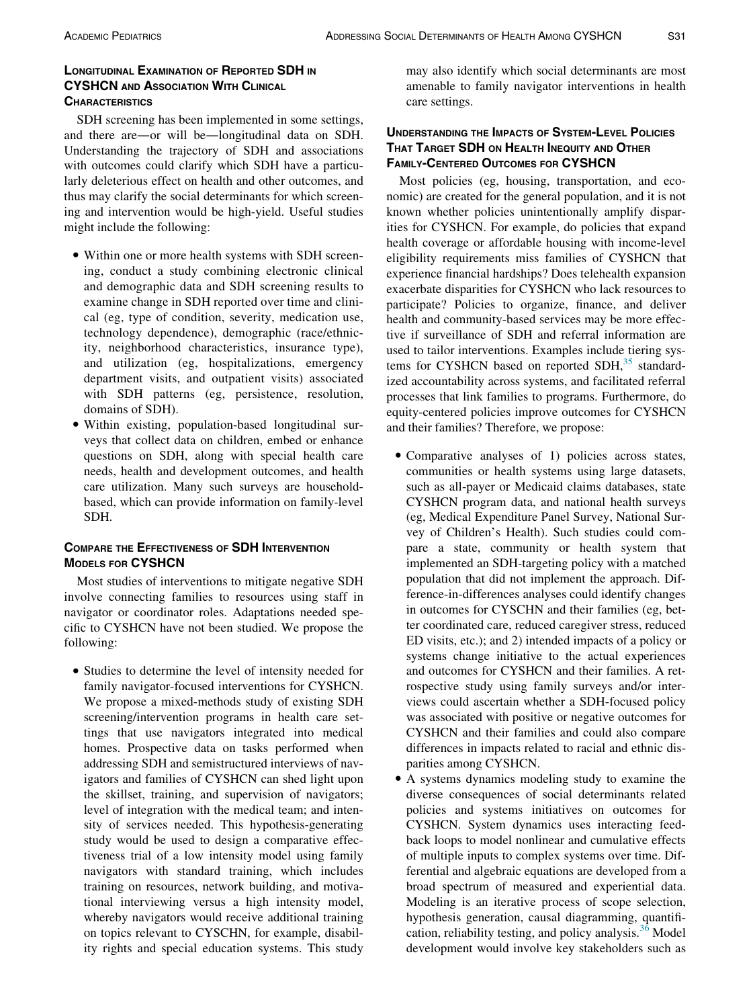#### LONGITUDINAL EXAMINATION OF REPORTED SDH IN CYSHCN AND ASSOCIATION WITH CLINICAL **CHARACTERISTICS**

SDH screening has been implemented in some settings, and there are—or will be—longitudinal data on SDH. Understanding the trajectory of SDH and associations with outcomes could clarify which SDH have a particularly deleterious effect on health and other outcomes, and thus may clarify the social determinants for which screening and intervention would be high-yield. Useful studies might include the following:

- Within one or more health systems with SDH screening, conduct a study combining electronic clinical and demographic data and SDH screening results to examine change in SDH reported over time and clinical (eg, type of condition, severity, medication use, technology dependence), demographic (race/ethnicity, neighborhood characteristics, insurance type), and utilization (eg, hospitalizations, emergency department visits, and outpatient visits) associated with SDH patterns (eg, persistence, resolution, domains of SDH).
- Within existing, population-based longitudinal surveys that collect data on children, embed or enhance questions on SDH, along with special health care needs, health and development outcomes, and health care utilization. Many such surveys are householdbased, which can provide information on family-level SDH.

#### COMPARE THE EFFECTIVENESS OF SDH INTERVENTION MODELS FOR CYSHCN

Most studies of interventions to mitigate negative SDH involve connecting families to resources using staff in navigator or coordinator roles. Adaptations needed specific to CYSHCN have not been studied. We propose the following:

 Studies to determine the level of intensity needed for family navigator-focused interventions for CYSHCN. We propose a mixed-methods study of existing SDH screening/intervention programs in health care settings that use navigators integrated into medical homes. Prospective data on tasks performed when addressing SDH and semistructured interviews of navigators and families of CYSHCN can shed light upon the skillset, training, and supervision of navigators; level of integration with the medical team; and intensity of services needed. This hypothesis-generating study would be used to design a comparative effectiveness trial of a low intensity model using family navigators with standard training, which includes training on resources, network building, and motivational interviewing versus a high intensity model, whereby navigators would receive additional training on topics relevant to CYSCHN, for example, disability rights and special education systems. This study

may also identify which social determinants are most amenable to family navigator interventions in health care settings.

#### UNDERSTANDING THE IMPACTS OF SYSTEM-LEVEL POLICIES THAT TARGET SDH ON HEALTH INEQUITY AND OTHER FAMILY-CENTERED OUTCOMES FOR CYSHCN

Most policies (eg, housing, transportation, and economic) are created for the general population, and it is not known whether policies unintentionally amplify disparities for CYSHCN. For example, do policies that expand health coverage or affordable housing with income-level eligibility requirements miss families of CYSHCN that experience financial hardships? Does telehealth expansion exacerbate disparities for CYSHCN who lack resources to participate? Policies to organize, finance, and deliver health and community-based services may be more effective if surveillance of SDH and referral information are used to tailor interventions. Examples include tiering systems for CYSHCN based on reported  $SDH<sub>1</sub><sup>35</sup>$  standardized accountability across systems, and facilitated referral processes that link families to programs. Furthermore, do equity-centered policies improve outcomes for CYSHCN and their families? Therefore, we propose:

- Comparative analyses of 1) policies across states, communities or health systems using large datasets, such as all-payer or Medicaid claims databases, state CYSHCN program data, and national health surveys (eg, Medical Expenditure Panel Survey, National Survey of Children's Health). Such studies could compare a state, community or health system that implemented an SDH-targeting policy with a matched population that did not implement the approach. Difference-in-differences analyses could identify changes in outcomes for CYSCHN and their families (eg, better coordinated care, reduced caregiver stress, reduced ED visits, etc.); and 2) intended impacts of a policy or systems change initiative to the actual experiences and outcomes for CYSHCN and their families. A retrospective study using family surveys and/or interviews could ascertain whether a SDH-focused policy was associated with positive or negative outcomes for CYSHCN and their families and could also compare differences in impacts related to racial and ethnic disparities among CYSHCN.
- A systems dynamics modeling study to examine the diverse consequences of social determinants related policies and systems initiatives on outcomes for CYSHCN. System dynamics uses interacting feedback loops to model nonlinear and cumulative effects of multiple inputs to complex systems over time. Differential and algebraic equations are developed from a broad spectrum of measured and experiential data. Modeling is an iterative process of scope selection, hypothesis generation, causal diagramming, quantifi-cation, reliability testing, and policy analysis.<sup>[36](#page-5-12)</sup> Model development would involve key stakeholders such as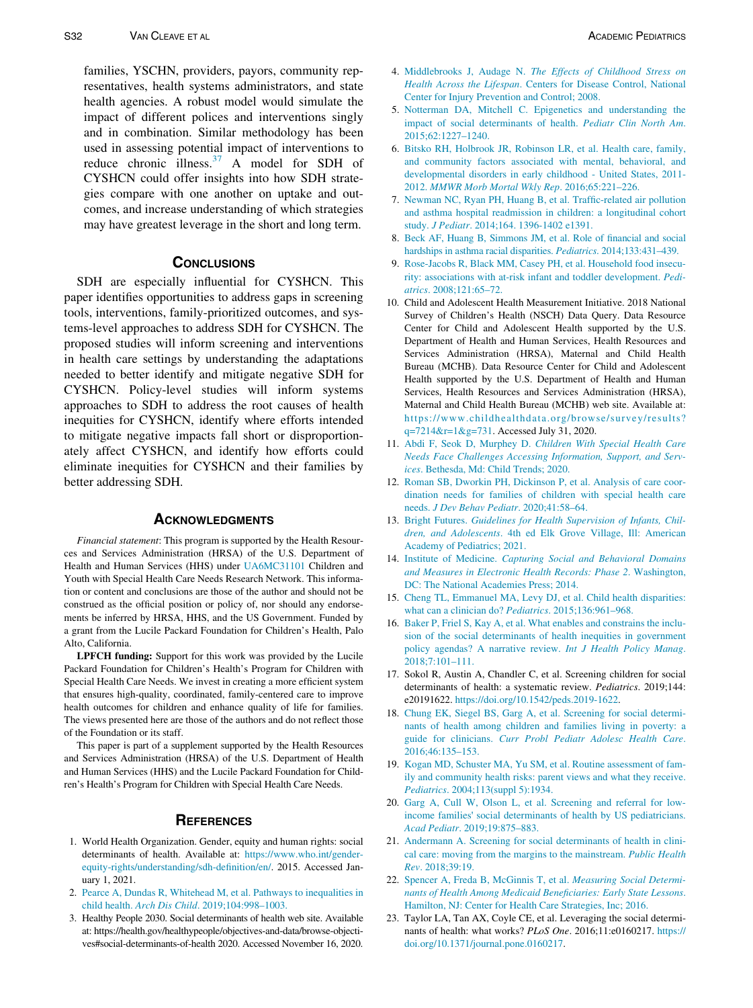<span id="page-4-5"></span><span id="page-4-4"></span><span id="page-4-3"></span>families, YSCHN, providers, payors, community representatives, health systems administrators, and state health agencies. A robust model would simulate the impact of different polices and interventions singly and in combination. Similar methodology has been used in assessing potential impact of interventions to reduce chronic illness. $37$  A model for SDH of CYSHCN could offer insights into how SDH strategies compare with one another on uptake and outcomes, and increase understanding of which strategies may have greatest leverage in the short and long term.

#### **CONCLUSIONS**

<span id="page-4-9"></span><span id="page-4-8"></span><span id="page-4-7"></span><span id="page-4-6"></span>SDH are especially influential for CYSHCN. This paper identifies opportunities to address gaps in screening tools, interventions, family-prioritized outcomes, and systems-level approaches to address SDH for CYSHCN. The proposed studies will inform screening and interventions in health care settings by understanding the adaptations needed to better identify and mitigate negative SDH for CYSHCN. Policy-level studies will inform systems approaches to SDH to address the root causes of health inequities for CYSHCN, identify where efforts intended to mitigate negative impacts fall short or disproportionately affect CYSHCN, and identify how efforts could eliminate inequities for CYSHCN and their families by better addressing SDH.

#### **ACKNOWLEDGMENTS**

<span id="page-4-23"></span><span id="page-4-14"></span><span id="page-4-13"></span><span id="page-4-12"></span><span id="page-4-11"></span><span id="page-4-10"></span>Financial statement: This program is supported by the Health Resources and Services Administration (HRSA) of the U.S. Department of Health and Human Services (HHS) under [UA6MC31101](#page-4-23) Children and Youth with Special Health Care Needs Research Network. This information or content and conclusions are those of the author and should not be construed as the official position or policy of, nor should any endorsements be inferred by HRSA, HHS, and the US Government. Funded by a grant from the Lucile Packard Foundation for Children's Health, Palo Alto, California.

<span id="page-4-16"></span><span id="page-4-15"></span>LPFCH funding: Support for this work was provided by the Lucile Packard Foundation for Children's Health's Program for Children with Special Health Care Needs. We invest in creating a more efficient system that ensures high-quality, coordinated, family-centered care to improve health outcomes for children and enhance quality of life for families. The views presented here are those of the authors and do not reflect those of the Foundation or its staff.

<span id="page-4-18"></span><span id="page-4-17"></span>This paper is part of a supplement supported by the Health Resources and Services Administration (HRSA) of the U.S. Department of Health and Human Services (HHS) and the Lucile Packard Foundation for Children's Health's Program for Children with Special Health Care Needs.

#### **REFERENCES**

- <span id="page-4-20"></span><span id="page-4-19"></span><span id="page-4-0"></span>1. World Health Organization. Gender, equity and human rights: social determinants of health. Available at: [https://www.who.int/gender](https://www.who.int/gender-equity-rights/understanding/sdh-definition/en/)[equity-rights/understanding/sdh-definition/en/.](https://www.who.int/gender-equity-rights/understanding/sdh-definition/en/) 2015. Accessed January 1, 2021.
- <span id="page-4-21"></span><span id="page-4-1"></span>2. [Pearce A, Dundas R, Whitehead M, et al. Pathways to inequalities in](http://refhub.elsevier.com/S1876-2859(21)00358-2/sbref0002) child health. Arch Dis Child[. 2019;104:998–1003.](http://refhub.elsevier.com/S1876-2859(21)00358-2/sbref0002)
- <span id="page-4-22"></span><span id="page-4-2"></span>3. Healthy People 2030. Social determinants of health web site. Available at: https://health.gov/healthypeople/objectives-and-data/browse-objectives#social-determinants-of-health 2020. Accessed November 16, 2020.
- 4. Middlebrooks J, Audage N. [The Effects of Childhood Stress on](http://refhub.elsevier.com/S1876-2859(21)00358-2/sbref0004) Health Across the Lifespan[. Centers for Disease Control, National](http://refhub.elsevier.com/S1876-2859(21)00358-2/sbref0004) [Center for Injury Prevention and Control; 2008.](http://refhub.elsevier.com/S1876-2859(21)00358-2/sbref0004)
- 5. [Notterman DA, Mitchell C. Epigenetics and understanding the](http://refhub.elsevier.com/S1876-2859(21)00358-2/sbref0005) [impact of social determinants of health.](http://refhub.elsevier.com/S1876-2859(21)00358-2/sbref0005) Pediatr Clin North Am. [2015;62:1227–1240.](http://refhub.elsevier.com/S1876-2859(21)00358-2/sbref0005)
- 6. [Bitsko RH, Holbrook JR, Robinson LR, et al. Health care, family,](http://refhub.elsevier.com/S1876-2859(21)00358-2/sbref0006) [and community factors associated with mental, behavioral, and](http://refhub.elsevier.com/S1876-2859(21)00358-2/sbref0006) [developmental disorders in early childhood - United States, 2011-](http://refhub.elsevier.com/S1876-2859(21)00358-2/sbref0006) 2012. [MMWR Morb Mortal Wkly Rep](http://refhub.elsevier.com/S1876-2859(21)00358-2/sbref0006). 2016;65:221–226.
- 7. [Newman NC, Ryan PH, Huang B, et al. Traffic-related air pollution](http://refhub.elsevier.com/S1876-2859(21)00358-2/sbref0007) [and asthma hospital readmission in children: a longitudinal cohort](http://refhub.elsevier.com/S1876-2859(21)00358-2/sbref0007) study. J Pediatr[. 2014;164. 1396-1402 e1391.](http://refhub.elsevier.com/S1876-2859(21)00358-2/sbref0007)
- 8. [Beck AF, Huang B, Simmons JM, et al. Role of financial and social](http://refhub.elsevier.com/S1876-2859(21)00358-2/sbref0008) [hardships in asthma racial disparities.](http://refhub.elsevier.com/S1876-2859(21)00358-2/sbref0008) Pediatrics. 2014;133:431–439.
- 9. [Rose-Jacobs R, Black MM, Casey PH, et al. Household food insecu](http://refhub.elsevier.com/S1876-2859(21)00358-2/sbref0009)[rity: associations with at-risk infant and toddler development.](http://refhub.elsevier.com/S1876-2859(21)00358-2/sbref0009) Pediatrics[. 2008;121:65–72.](http://refhub.elsevier.com/S1876-2859(21)00358-2/sbref0009)
- 10. Child and Adolescent Health Measurement Initiative. 2018 National Survey of Children's Health (NSCH) Data Query. Data Resource Center for Child and Adolescent Health supported by the U.S. Department of Health and Human Services, Health Resources and Services Administration (HRSA), Maternal and Child Health Bureau (MCHB). Data Resource Center for Child and Adolescent Health supported by the U.S. Department of Health and Human Services, Health Resources and Services Administration (HRSA), Maternal and Child Health Bureau (MCHB) web site. Available at: [https://www.childhealthdata.org/browse/survey/results?](https://www.childhealthdata.org/browse/survey/results?q=7214&r=1&g=731) [q=7214&r=1&g=731.](https://www.childhealthdata.org/browse/survey/results?q=7214&r=1&g=731) Accessed July 31, 2020.
- 11. Abdi F, Seok D, Murphey D. [Children With Special Health Care](http://refhub.elsevier.com/S1876-2859(21)00358-2/sbref0011) [Needs Face Challenges Accessing Information, Support, and Serv](http://refhub.elsevier.com/S1876-2859(21)00358-2/sbref0011)ices[. Bethesda, Md: Child Trends; 2020.](http://refhub.elsevier.com/S1876-2859(21)00358-2/sbref0011)
- 12. [Roman SB, Dworkin PH, Dickinson P, et al. Analysis of care coor](http://refhub.elsevier.com/S1876-2859(21)00358-2/sbref0012)[dination needs for families of children with special health care](http://refhub.elsevier.com/S1876-2859(21)00358-2/sbref0012) needs. [J Dev Behav Pediatr](http://refhub.elsevier.com/S1876-2859(21)00358-2/sbref0012). 2020;41:58–64.
- 13. Bright Futures. [Guidelines for Health Supervision of Infants, Chil](http://refhub.elsevier.com/S1876-2859(21)00358-2/sbref0013)dren, and Adolescents[. 4th ed Elk Grove Village, Ill: American](http://refhub.elsevier.com/S1876-2859(21)00358-2/sbref0013) [Academy of Pediatrics; 2021.](http://refhub.elsevier.com/S1876-2859(21)00358-2/sbref0013)
- 14. Institute of Medicine. [Capturing Social and Behavioral Domains](http://refhub.elsevier.com/S1876-2859(21)00358-2/sbref0014) [and Measures in Electronic Health Records: Phase 2](http://refhub.elsevier.com/S1876-2859(21)00358-2/sbref0014). Washington, [DC: The National Academies Press; 2014.](http://refhub.elsevier.com/S1876-2859(21)00358-2/sbref0014)
- 15. [Cheng TL, Emmanuel MA, Levy DJ, et al. Child health disparities:](http://refhub.elsevier.com/S1876-2859(21)00358-2/sbref0015) [what can a clinician do?](http://refhub.elsevier.com/S1876-2859(21)00358-2/sbref0015) Pediatrics. 2015;136:961–968.
- 16. [Baker P, Friel S, Kay A, et al. What enables and constrains the inclu](http://refhub.elsevier.com/S1876-2859(21)00358-2/sbref0016)[sion of the social determinants of health inequities in government](http://refhub.elsevier.com/S1876-2859(21)00358-2/sbref0016) [policy agendas? A narrative review.](http://refhub.elsevier.com/S1876-2859(21)00358-2/sbref0016) Int J Health Policy Manag. [2018;7:101–111.](http://refhub.elsevier.com/S1876-2859(21)00358-2/sbref0016)
- 17. Sokol R, Austin A, Chandler C, et al. Screening children for social determinants of health: a systematic review. Pediatrics. 2019;144: e20191622. <https://doi.org/10.1542/peds.2019-1622>.
- 18. [Chung EK, Siegel BS, Garg A, et al. Screening for social determi](http://refhub.elsevier.com/S1876-2859(21)00358-2/sbref0018)[nants of health among children and families living in poverty: a](http://refhub.elsevier.com/S1876-2859(21)00358-2/sbref0018) guide for clinicians. [Curr Probl Pediatr Adolesc Health Care](http://refhub.elsevier.com/S1876-2859(21)00358-2/sbref0018). [2016;46:135–153.](http://refhub.elsevier.com/S1876-2859(21)00358-2/sbref0018)
- 19. [Kogan MD, Schuster MA, Yu SM, et al. Routine assessment of fam](http://refhub.elsevier.com/S1876-2859(21)00358-2/sbref0019)[ily and community health risks: parent views and what they receive.](http://refhub.elsevier.com/S1876-2859(21)00358-2/sbref0019) Pediatrics[. 2004;113\(suppl 5\):1934.](http://refhub.elsevier.com/S1876-2859(21)00358-2/sbref0019)
- 20. [Garg A, Cull W, Olson L, et al. Screening and referral for low](http://refhub.elsevier.com/S1876-2859(21)00358-2/sbref0020)income families' [social determinants of health by US pediatricians.](http://refhub.elsevier.com/S1876-2859(21)00358-2/sbref0020) Acad Pediatr[. 2019;19:875–883.](http://refhub.elsevier.com/S1876-2859(21)00358-2/sbref0020)
- 21. [Andermann A. Screening for social determinants of health in clini](http://refhub.elsevier.com/S1876-2859(21)00358-2/sbref0021)[cal care: moving from the margins to the mainstream.](http://refhub.elsevier.com/S1876-2859(21)00358-2/sbref0021) Public Health Rev[. 2018;39:19.](http://refhub.elsevier.com/S1876-2859(21)00358-2/sbref0021)
- 22. [Spencer A, Freda B, McGinnis T, et al.](http://refhub.elsevier.com/S1876-2859(21)00358-2/sbref0022) Measuring Social Determi[nants of Health Among Medicaid Beneficiaries: Early State Lessons](http://refhub.elsevier.com/S1876-2859(21)00358-2/sbref0022). [Hamilton, NJ: Center for Health Care Strategies, Inc; 2016.](http://refhub.elsevier.com/S1876-2859(21)00358-2/sbref0022)
- 23. Taylor LA, Tan AX, Coyle CE, et al. Leveraging the social determinants of health: what works? PLoS One. 2016;11:e0160217. [https://](https://doi.org/10.1371/journal.pone.0160217) [doi.org/10.1371/journal.pone.0160217.](https://doi.org/10.1371/journal.pone.0160217)